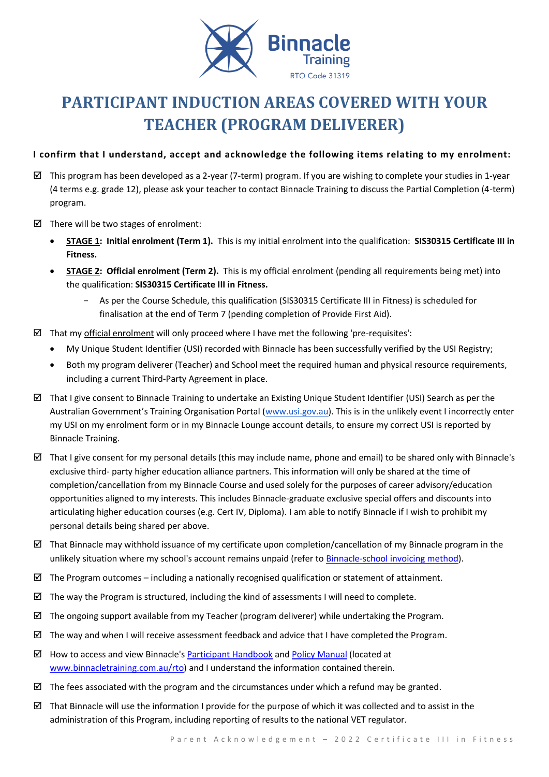

# **PARTICIPANT INDUCTION AREAS COVERED WITH YOUR TEACHER (PROGRAM DELIVERER)**

# **I confirm that I understand, accept and acknowledge the following items relating to my enrolment:**

- $\boxtimes$  This program has been developed as a 2-year (7-term) program. If you are wishing to complete your studies in 1-year (4 terms e.g. grade 12), please ask your teacher to contact Binnacle Training to discuss the Partial Completion (4-term) program.
- $\boxtimes$  There will be two stages of enrolment:
	- **STAGE 1: Initial enrolment (Term 1).** This is my initial enrolment into the qualification: **SIS30315 Certificate III in Fitness.**
	- **STAGE 2: Official enrolment (Term 2).** This is my official enrolment (pending all requirements being met) into the qualification: **SIS30315 Certificate III in Fitness.**
		- As per the Course Schedule, this qualification (SIS30315 Certificate III in Fitness) is scheduled for finalisation at the end of Term 7 (pending completion of Provide First Aid).
- $\boxtimes$  That my official enrolment will only proceed where I have met the following 'pre-requisites':
	- My Unique Student Identifier (USI) recorded with Binnacle has been successfully verified by the USI Registry;
	- Both my program deliverer (Teacher) and School meet the required human and physical resource requirements, including a current Third-Party Agreement in place.
- $\boxtimes$  That I give consent to Binnacle Training to undertake an Existing Unique Student Identifier (USI) Search as per the Australian Government's Training Organisation Portal ([www.usi.gov.au\)](http://www.usi.gov.au/). This is in the unlikely event I incorrectly enter my USI on my enrolment form or in my Binnacle Lounge account details, to ensure my correct USI is reported by Binnacle Training.
- That I give consent for my personal details (this may include name, phone and email) to be shared only with Binnacle's exclusive third- party higher education alliance partners. This information will only be shared at the time of completion/cancellation from my Binnacle Course and used solely for the purposes of career advisory/education opportunities aligned to my interests. This includes Binnacle-graduate exclusive special offers and discounts into articulating higher education courses (e.g. Cert IV, Diploma). I am able to notify Binnacle if I wish to prohibit my personal details being shared per above.
- $\boxtimes$  That Binnacle may withhold issuance of my certificate upon completion/cancellation of my Binnacle program in the unlikely situation where my school's account remains unpaid (refer t[o Binnacle-school invoicing method\)](http://www.binnacletraining.com.au/services-pricing.php).
- $\boxtimes$  The Program outcomes including a nationally recognised qualification or statement of attainment.
- $\boxtimes$  The way the Program is structured, including the kind of assessments I will need to complete.
- $\boxtimes$  The ongoing support available from my Teacher (program deliverer) while undertaking the Program.
- $\boxtimes$  The way and when I will receive assessment feedback and advice that I have completed the Program.
- $\boxtimes$  How to access and view Binnacle's [Participant Handbook](http://www.binnacletraining.com.au/rto.php) an[d Policy Manual](http://www.binnacletraining.com.au/rto.php) (located at [www.binnacletraining.com.au/rto\)](http://www.binnacletraining.com.au/rto) and I understand the information contained therein.
- $\boxtimes$  The fees associated with the program and the circumstances under which a refund may be granted.
- That Binnacle will use the information I provide for the purpose of which it was collected and to assist in the administration of this Program, including reporting of results to the national VET regulator.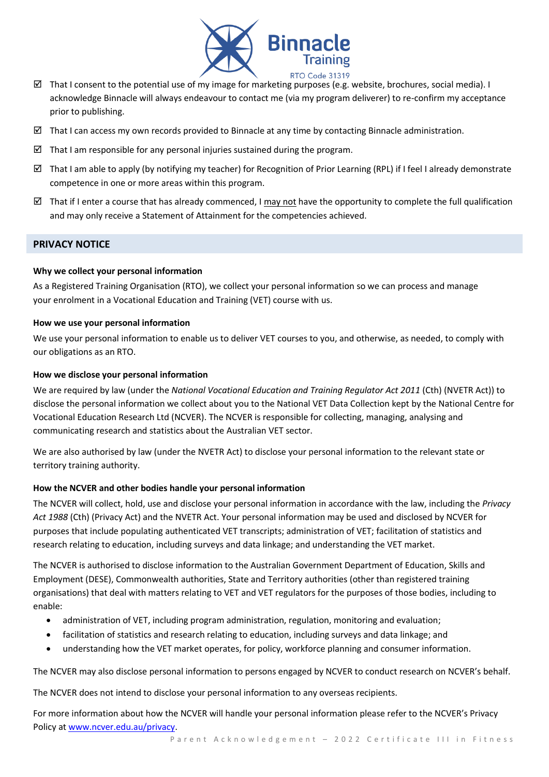

- That I consent to the potential use of my image for marketing purposes (e.g. website, brochures, social media). I acknowledge Binnacle will always endeavour to contact me (via my program deliverer) to re-confirm my acceptance prior to publishing.
- $\boxtimes$  That I can access my own records provided to Binnacle at any time by contacting Binnacle administration.
- That I am responsible for any personal injuries sustained during the program.
- That I am able to apply (by notifying my teacher) for Recognition of Prior Learning (RPL) if I feel I already demonstrate competence in one or more areas within this program.
- That if I enter a course that has already commenced. I may not have the opportunity to complete the full qualification and may only receive a Statement of Attainment for the competencies achieved.

## **PRIVACY NOTICE**

## **Why we collect your personal information**

As a Registered Training Organisation (RTO), we collect your personal information so we can process and manage your enrolment in a Vocational Education and Training (VET) course with us.

#### **How we use your personal information**

We use your personal information to enable us to deliver VET courses to you, and otherwise, as needed, to comply with our obligations as an RTO.

#### **How we disclose your personal information**

We are required by law (under the *National Vocational Education and Training Regulator Act 2011* (Cth) (NVETR Act)) to disclose the personal information we collect about you to the National VET Data Collection kept by the National Centre for Vocational Education Research Ltd (NCVER). The NCVER is responsible for collecting, managing, analysing and communicating research and statistics about the Australian VET sector.

We are also authorised by law (under the NVETR Act) to disclose your personal information to the relevant state or territory training authority.

## **How the NCVER and other bodies handle your personal information**

The NCVER will collect, hold, use and disclose your personal information in accordance with the law, including the *Privacy Act 1988* (Cth) (Privacy Act) and the NVETR Act. Your personal information may be used and disclosed by NCVER for purposes that include populating authenticated VET transcripts; administration of VET; facilitation of statistics and research relating to education, including surveys and data linkage; and understanding the VET market.

The NCVER is authorised to disclose information to the Australian Government Department of Education, Skills and Employment (DESE), Commonwealth authorities, State and Territory authorities (other than registered training organisations) that deal with matters relating to VET and VET regulators for the purposes of those bodies, including to enable:

- administration of VET, including program administration, regulation, monitoring and evaluation;
- facilitation of statistics and research relating to education, including surveys and data linkage; and
- understanding how the VET market operates, for policy, workforce planning and consumer information.

The NCVER may also disclose personal information to persons engaged by NCVER to conduct research on NCVER's behalf.

The NCVER does not intend to disclose your personal information to any overseas recipients.

For more information about how the NCVER will handle your personal information please refer to the NCVER's Privacy Policy at [www.ncver.edu.au/privacy.](http://www.ncver.edu.au/privacy)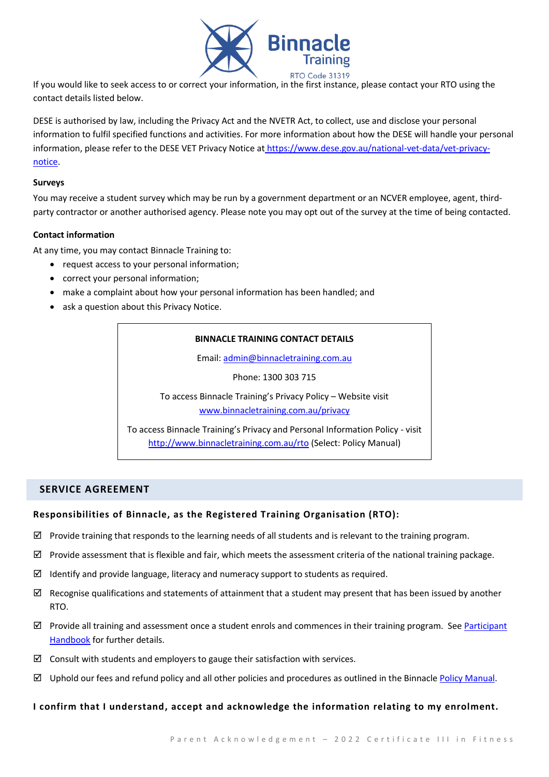

If you would like to seek access to or correct your information, in the first instance, please contact your RTO using the contact details listed below.

DESE is authorised by law, including the Privacy Act and the NVETR Act, to collect, use and disclose your personal information to fulfil specified functions and activities. For more information about how the DESE will handle your personal information, please refer to the DESE VET Privacy Notice at [https://www.dese.gov.au/national-vet-data/vet-privacy](https://www.dese.gov.au/national-vet-data/vet-privacy-notice)[notice.](https://www.dese.gov.au/national-vet-data/vet-privacy-notice)

#### **Surveys**

You may receive a student survey which may be run by a government department or an NCVER employee, agent, thirdparty contractor or another authorised agency. Please note you may opt out of the survey at the time of being contacted.

## **Contact information**

At any time, you may contact Binnacle Training to:

- request access to your personal information;
- correct your personal information;
- make a complaint about how your personal information has been handled; and
- ask a question about this Privacy Notice.

## **BINNACLE TRAINING CONTACT DETAILS**

Email: [admin@binnacletraining.com.au](mailto:admin@binnacletraining.com.au)

Phone: 1300 303 715

To access Binnacle Training's Privacy Policy – Website visit [www.binnacletraining.com.au/privacy](http://www.binnacletraining.com.au/privacy)

To access Binnacle Training's Privacy and Personal Information Policy - visit <http://www.binnacletraining.com.au/rto> (Select: Policy Manual)

# **SERVICE AGREEMENT**

## **Responsibilities of Binnacle, as the Registered Training Organisation (RTO):**

- $\boxtimes$  Provide training that responds to the learning needs of all students and is relevant to the training program.
- $\boxtimes$  Provide assessment that is flexible and fair, which meets the assessment criteria of the national training package.
- $\boxtimes$  Identify and provide language, literacy and numeracy support to students as required.
- $\boxtimes$  Recognise qualifications and statements of attainment that a student may present that has been issued by another RTO.
- $\boxtimes$  Provide all training and assessment once a student enrols and commences in their training program. See Participant [Handbook](http://www.binnacletraining.com.au/rto.php) for further details.
- $\boxtimes$  Consult with students and employers to gauge their satisfaction with services.
- $\boxtimes$  Uphold our fees and refund policy and all other policies and procedures as outlined in the Binnacle [Policy Manual.](http://www.binnacletraining.com.au/rto.php)

## **I confirm that I understand, accept and acknowledge the information relating to my enrolment.**